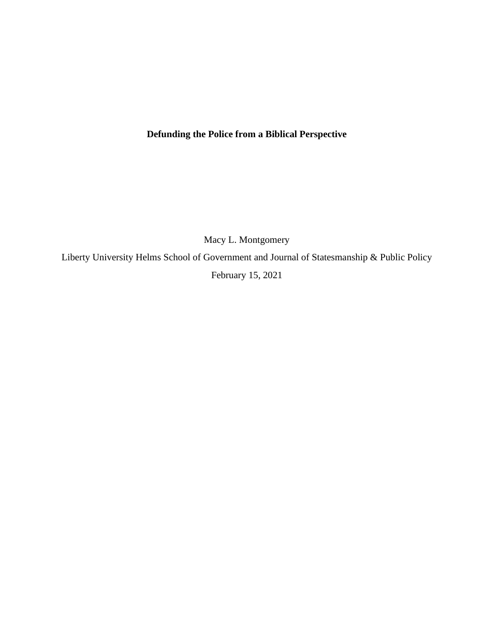# **Defunding the Police from a Biblical Perspective**

Macy L. Montgomery

Liberty University Helms School of Government and Journal of Statesmanship & Public Policy February 15, 2021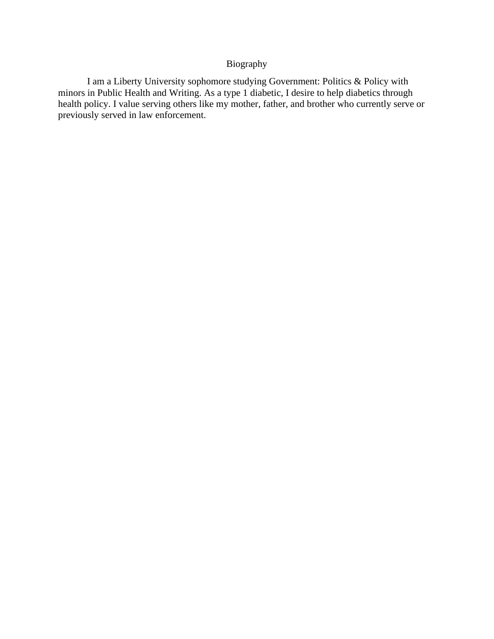## Biography

I am a Liberty University sophomore studying Government: Politics & Policy with minors in Public Health and Writing. As a type 1 diabetic, I desire to help diabetics through health policy. I value serving others like my mother, father, and brother who currently serve or previously served in law enforcement.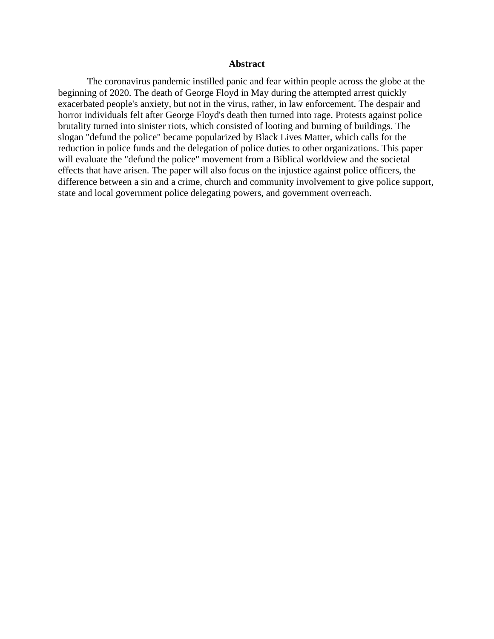### **Abstract**

The coronavirus pandemic instilled panic and fear within people across the globe at the beginning of 2020. The death of George Floyd in May during the attempted arrest quickly exacerbated people's anxiety, but not in the virus, rather, in law enforcement. The despair and horror individuals felt after George Floyd's death then turned into rage. Protests against police brutality turned into sinister riots, which consisted of looting and burning of buildings. The slogan "defund the police" became popularized by Black Lives Matter, which calls for the reduction in police funds and the delegation of police duties to other organizations. This paper will evaluate the "defund the police" movement from a Biblical worldview and the societal effects that have arisen. The paper will also focus on the injustice against police officers, the difference between a sin and a crime, church and community involvement to give police support, state and local government police delegating powers, and government overreach.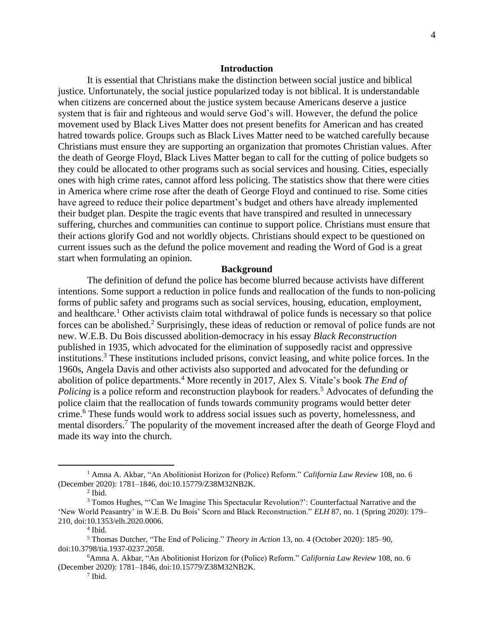#### **Introduction**

It is essential that Christians make the distinction between social justice and biblical justice. Unfortunately, the social justice popularized today is not biblical. It is understandable when citizens are concerned about the justice system because Americans deserve a justice system that is fair and righteous and would serve God's will. However, the defund the police movement used by Black Lives Matter does not present benefits for American and has created hatred towards police. Groups such as Black Lives Matter need to be watched carefully because Christians must ensure they are supporting an organization that promotes Christian values. After the death of George Floyd, Black Lives Matter began to call for the cutting of police budgets so they could be allocated to other programs such as social services and housing. Cities, especially ones with high crime rates, cannot afford less policing. The statistics show that there were cities in America where crime rose after the death of George Floyd and continued to rise. Some cities have agreed to reduce their police department's budget and others have already implemented their budget plan. Despite the tragic events that have transpired and resulted in unnecessary suffering, churches and communities can continue to support police. Christians must ensure that their actions glorify God and not worldly objects. Christians should expect to be questioned on current issues such as the defund the police movement and reading the Word of God is a great start when formulating an opinion.

#### **Background**

The definition of defund the police has become blurred because activists have different intentions. Some support a reduction in police funds and reallocation of the funds to non-policing forms of public safety and programs such as social services, housing, education, employment, and healthcare.<sup>1</sup> Other activists claim total withdrawal of police funds is necessary so that police forces can be abolished.<sup>2</sup> Surprisingly, these ideas of reduction or removal of police funds are not new. W.E.B. Du Bois discussed abolition-democracy in his essay *Black Reconstruction*  published in 1935, which advocated for the elimination of supposedly racist and oppressive institutions. <sup>3</sup> These institutions included prisons, convict leasing, and white police forces. In the 1960s, Angela Davis and other activists also supported and advocated for the defunding or abolition of police departments. <sup>4</sup> More recently in 2017, Alex S. Vitale's book *The End of*  Policing is a police reform and reconstruction playbook for readers.<sup>5</sup> Advocates of defunding the police claim that the reallocation of funds towards community programs would better deter crime. <sup>6</sup> These funds would work to address social issues such as poverty, homelessness, and mental disorders.<sup>7</sup> The popularity of the movement increased after the death of George Floyd and made its way into the church.

<sup>1</sup> Amna A. Akbar, "An Abolitionist Horizon for (Police) Reform." *California Law Review* 108, no. 6 (December 2020): 1781–1846, doi:10.15779/Z38M32NB2K.

 $<sup>2</sup>$  Ibid.</sup>

<sup>&</sup>lt;sup>3</sup> Tomos Hughes, "'Can We Imagine This Spectacular Revolution?': Counterfactual Narrative and the 'New World Peasantry' in W.E.B. Du Bois' Scorn and Black Reconstruction." *ELH* 87, no. 1 (Spring 2020): 179– 210, doi:10.1353/elh.2020.0006.

<sup>4</sup> Ibid.

<sup>5</sup> Thomas Dutcher, "The End of Policing." *Theory in Action* 13, no. 4 (October 2020): 185–90, doi:10.3798/tia.1937-0237.2058.

<sup>6</sup>Amna A. Akbar, "An Abolitionist Horizon for (Police) Reform." *California Law Review* 108, no. 6 (December 2020): 1781–1846, doi:10.15779/Z38M32NB2K.

<sup>7</sup> Ibid.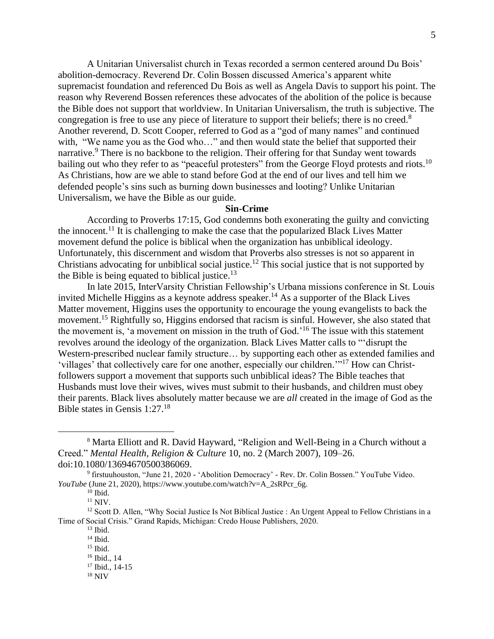A Unitarian Universalist church in Texas recorded a sermon centered around Du Bois' abolition-democracy. Reverend Dr. Colin Bossen discussed America's apparent white supremacist foundation and referenced Du Bois as well as Angela Davis to support his point. The reason why Reverend Bossen references these advocates of the abolition of the police is because the Bible does not support that worldview. In Unitarian Universalism, the truth is subjective. The congregation is free to use any piece of literature to support their beliefs; there is no creed.<sup>8</sup> Another reverend, D. Scott Cooper, referred to God as a "god of many names" and continued with, "We name you as the God who..." and then would state the belief that supported their narrative.<sup>9</sup> There is no backbone to the religion. Their offering for that Sunday went towards bailing out who they refer to as "peaceful protesters" from the George Floyd protests and riots.<sup>10</sup> As Christians, how are we able to stand before God at the end of our lives and tell him we defended people's sins such as burning down businesses and looting? Unlike Unitarian Universalism, we have the Bible as our guide.

### **Sin-Crime**

According to Proverbs 17:15, God condemns both exonerating the guilty and convicting the innocent.<sup>11</sup> It is challenging to make the case that the popularized Black Lives Matter movement defund the police is biblical when the organization has unbiblical ideology. Unfortunately, this discernment and wisdom that Proverbs also stresses is not so apparent in Christians advocating for unbiblical social justice.<sup>12</sup> This social justice that is not supported by the Bible is being equated to biblical justice.<sup>13</sup>

In late 2015, InterVarsity Christian Fellowship's Urbana missions conference in St. Louis invited Michelle Higgins as a keynote address speaker. <sup>14</sup> As a supporter of the Black Lives Matter movement, Higgins uses the opportunity to encourage the young evangelists to back the movement.<sup>15</sup> Rightfully so, Higgins endorsed that racism is sinful. However, she also stated that the movement is, 'a movement on mission in the truth of God.' <sup>16</sup> The issue with this statement revolves around the ideology of the organization. Black Lives Matter calls to "'disrupt the Western-prescribed nuclear family structure… by supporting each other as extended families and 'villages' that collectively care for one another, especially our children."<sup>17</sup> How can Christfollowers support a movement that supports such unbiblical ideas? The Bible teaches that Husbands must love their wives, wives must submit to their husbands, and children must obey their parents. Black lives absolutely matter because we are *all* created in the image of God as the Bible states in Gensis 1:27.<sup>18</sup>

<sup>8</sup> Marta Elliott and R. David Hayward, "Religion and Well-Being in a Church without a Creed." *Mental Health, Religion & Culture* 10, no. 2 (March 2007), 109–26. doi:10.1080/13694670500386069.

<sup>&</sup>lt;sup>9</sup> firstuuhouston, "June 21, 2020 - 'Abolition Democracy' - Rev. Dr. Colin Bossen." YouTube Video. *YouTube* (June 21, 2020), https://www.youtube.com/watch?v=A\_2sRPcr\_6g.

 $10$  Ibid.

 $11$  NIV.

<sup>&</sup>lt;sup>12</sup> Scott D. Allen, "Why Social Justice Is Not Biblical Justice : An Urgent Appeal to Fellow Christians in a Time of Social Crisis." Grand Rapids, Michigan: Credo House Publishers, 2020.

 $13$  Ibid.

 $14$  Ibid.

 $15$  Ibid.

<sup>16</sup> Ibid., 14 <sup>17</sup> Ibid., 14-15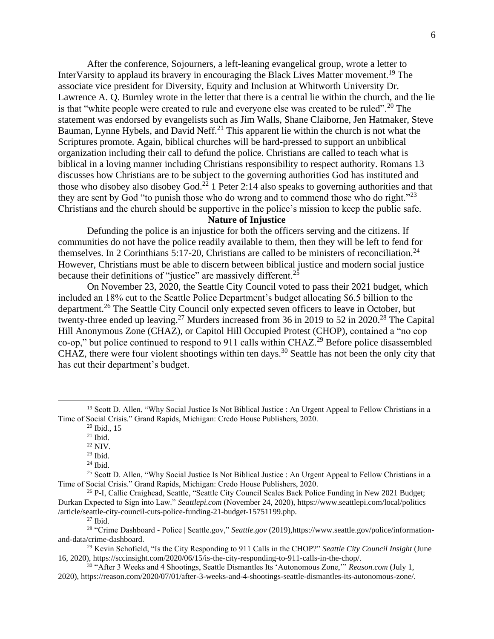After the conference, Sojourners, a left-leaning evangelical group, wrote a letter to InterVarsity to applaud its bravery in encouraging the Black Lives Matter movement.<sup>19</sup> The associate vice president for Diversity, Equity and Inclusion at Whitworth University Dr. Lawrence A. Q. Burnley wrote in the letter that there is a central lie within the church, and the lie is that "white people were created to rule and everyone else was created to be ruled".<sup>20</sup> The statement was endorsed by evangelists such as Jim Walls, Shane Claiborne, Jen Hatmaker, Steve Bauman, Lynne Hybels, and David Neff.<sup>21</sup> This apparent lie within the church is not what the Scriptures promote. Again, biblical churches will be hard-pressed to support an unbiblical organization including their call to defund the police. Christians are called to teach what is biblical in a loving manner including Christians responsibility to respect authority. Romans 13 discusses how Christians are to be subject to the governing authorities God has instituted and those who disobey also disobey God.<sup>22</sup> 1 Peter 2:14 also speaks to governing authorities and that they are sent by God "to punish those who do wrong and to commend those who do right."<sup>23</sup> Christians and the church should be supportive in the police's mission to keep the public safe.

#### **Nature of Injustice**

Defunding the police is an injustice for both the officers serving and the citizens. If communities do not have the police readily available to them, then they will be left to fend for themselves. In 2 Corinthians 5:17-20, Christians are called to be ministers of reconciliation.<sup>24</sup> However, Christians must be able to discern between biblical justice and modern social justice because their definitions of "justice" are massively different.<sup>25</sup>

On November 23, 2020, the Seattle City Council voted to pass their 2021 budget, which included an 18% cut to the Seattle Police Department's budget allocating \$6.5 billion to the department.<sup>26</sup> The Seattle City Council only expected seven officers to leave in October, but twenty-three ended up leaving.<sup>27</sup> Murders increased from 36 in 2019 to 52 in 2020.<sup>28</sup> The Capital Hill Anonymous Zone (CHAZ), or Capitol Hill Occupied Protest (CHOP), contained a "no cop co-op," but police continued to respond to 911 calls within CHAZ.<sup>29</sup> Before police disassembled CHAZ, there were four violent shootings within ten days.<sup>30</sup> Seattle has not been the only city that has cut their department's budget.

<sup>19</sup> Scott D. Allen, "Why Social Justice Is Not Biblical Justice : An Urgent Appeal to Fellow Christians in a Time of Social Crisis." Grand Rapids, Michigan: Credo House Publishers, 2020.

 $20$  Ibid., 15

 $21$  Ibid.

<sup>22</sup> NIV.

 $23$  Ibid.

<sup>24</sup> Ibid.

<sup>&</sup>lt;sup>25</sup> Scott D. Allen, "Why Social Justice Is Not Biblical Justice : An Urgent Appeal to Fellow Christians in a Time of Social Crisis." Grand Rapids, Michigan: Credo House Publishers, 2020.

<sup>&</sup>lt;sup>26</sup> P-I, Callie Craighead, Seattle, "Seattle City Council Scales Back Police Funding in New 2021 Budget; Durkan Expected to Sign into Law." *Seattlepi.com* (November 24, 2020)[, https://www.seattlepi.com/local/politics](https://www.seattlepi.com/local/politics) /article/seattle-city-council-cuts-police-funding-21-budget-15751199.php.

 $27$  Ibid.

<sup>&</sup>lt;sup>28</sup> "Crime Dashboard - Police | Seattle.gov," Seattle.gov (2019),https://www.seattle.gov/police/informationand-data/crime-dashboard.

<sup>&</sup>lt;sup>29</sup> Kevin Schofield, "Is the City Responding to 911 Calls in the CHOP?" *Seattle City Council Insight* (June 16, 2020), https://sccinsight.com/2020/06/15/is-the-city-responding-to-911-calls-in-the-chop/.

<sup>30</sup> "After 3 Weeks and 4 Shootings, Seattle Dismantles Its 'Autonomous Zone,'" *Reason.com* (July 1, 2020), https://reason.com/2020/07/01/after-3-weeks-and-4-shootings-seattle-dismantles-its-autonomous-zone/.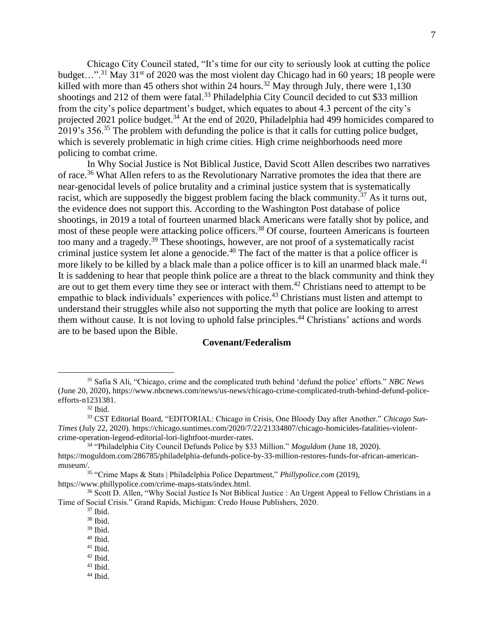Chicago City Council stated, "It's time for our city to seriously look at cutting the police budget...".<sup>31</sup> May 31<sup>st</sup> of 2020 was the most violent day Chicago had in 60 years; 18 people were killed with more than 45 others shot within 24 hours.<sup>32</sup> May through July, there were  $1,130$ shootings and 212 of them were fatal.<sup>33</sup> Philadelphia City Council decided to cut \$33 million from the city's police department's budget, which equates to about 4.3 percent of the city's projected 2021 police budget.<sup>34</sup> At the end of 2020, Philadelphia had 499 homicides compared to 2019's 356. $35$  The problem with defunding the police is that it calls for cutting police budget, which is severely problematic in high crime cities. High crime neighborhoods need more policing to combat crime.

In Why Social Justice is Not Biblical Justice, David Scott Allen describes two narratives of race.<sup>36</sup> What Allen refers to as the Revolutionary Narrative promotes the idea that there are near-genocidal levels of police brutality and a criminal justice system that is systematically racist, which are supposedly the biggest problem facing the black community.<sup>37</sup> As it turns out, the evidence does not support this. According to the Washington Post database of police shootings, in 2019 a total of fourteen unarmed black Americans were fatally shot by police, and most of these people were attacking police officers.<sup>38</sup> Of course, fourteen Americans is fourteen too many and a tragedy.<sup>39</sup> These shootings, however, are not proof of a systematically racist criminal justice system let alone a genocide. <sup>40</sup> The fact of the matter is that a police officer is more likely to be killed by a black male than a police officer is to kill an unarmed black male.<sup>41</sup> It is saddening to hear that people think police are a threat to the black community and think they are out to get them every time they see or interact with them.<sup>42</sup> Christians need to attempt to be empathic to black individuals' experiences with police.<sup>43</sup> Christians must listen and attempt to understand their struggles while also not supporting the myth that police are looking to arrest them without cause. It is not loving to uphold false principles. <sup>44</sup> Christians' actions and words are to be based upon the Bible.

## **Covenant/Federalism**

<sup>31</sup> Safia S Ali, "Chicago, crime and the complicated truth behind 'defund the police' efforts." *NBC News* (June 20, 2020)[, https://www.nbcnews.com/news/us-news/chicago-crime-complicated-truth-behind-defund-police](https://www.nbcnews.com/news/us-news/chicago-crime-complicated-truth-behind-defund-police-efforts-n1231381)[efforts-n1231381.](https://www.nbcnews.com/news/us-news/chicago-crime-complicated-truth-behind-defund-police-efforts-n1231381)

 $32$  Ibid.

<sup>33</sup> CST Editorial Board, "EDITORIAL: Chicago in Crisis, One Bloody Day after Another." *Chicago Sun-Times* (July 22, 2020). https://chicago.suntimes.com/2020/7/22/21334807/chicago-homicides-fatalities-violentcrime-operation-legend-editorial-lori-lightfoot-murder-rates.

<sup>34</sup> "Philadelphia City Council Defunds Police by \$33 Million." *Moguldom* (June 18, 2020). https://moguldom.com/286785/philadelphia-defunds-police-by-33-million-restores-funds-for-african-americanmuseum/.

<sup>35</sup> "Crime Maps & Stats | Philadelphia Police Department," *Phillypolice.com* (2019),

[https://www.phillypolice.](https://www.phillypolice/)com/crime-maps-stats/index.html.

<sup>&</sup>lt;sup>36</sup> Scott D. Allen, "Why Social Justice Is Not Biblical Justice : An Urgent Appeal to Fellow Christians in a Time of Social Crisis." Grand Rapids, Michigan: Credo House Publishers, 2020.

<sup>37</sup> Ibid.

<sup>38</sup> Ibid.

<sup>39</sup> Ibid.

<sup>40</sup> Ibid.

 $41$  Ibid.

 $42$  Ibid.

<sup>43</sup> Ibid.  $44$  Ibid.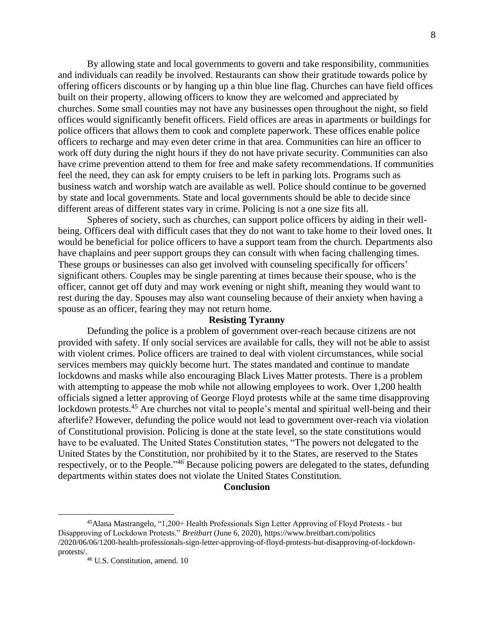By allowing state and local governments to govern and take responsibility, communities and individuals can readily be involved. Restaurants can show their gratitude towards police by offering officers discounts or by hanging up a thin blue line flag. Churches can have field offices built on their property, allowing officers to know they are welcomed and appreciated by churches. Some small counties may not have any businesses open throughout the night, so field offices would significantly benefit officers. Field offices are areas in apartments or buildings for police officers that allows them to cook and complete paperwork. These offices enable police officers to recharge and may even deter crime in that area. Communities can hire an officer to work off duty during the night hours if they do not have private security. Communities can also have crime prevention attend to them for free and make safety recommendations. If communities feel the need, they can ask for empty cruisers to be left in parking lots. Programs such as business watch and worship watch are available as well. Police should continue to be governed by state and local governments. State and local governments should be able to decide since different areas of different states vary in crime. Policing is not a one size fits all.

Spheres of society, such as churches, can support police officers by aiding in their wellbeing. Officers deal with difficult cases that they do not want to take home to their loved ones. It would be beneficial for police officers to have a support team from the church. Departments also have chaplains and peer support groups they can consult with when facing challenging times. These groups or businesses can also get involved with counseling specifically for officers' significant others. Couples may be single parenting at times because their spouse, who is the officer, cannot get off duty and may work evening or night shift, meaning they would want to rest during the day. Spouses may also want counseling because of their anxiety when having a spouse as an officer, fearing they may not return home.

## **Resisting Tyranny**

Defunding the police is a problem of government over-reach because citizens are not provided with safety. If only social services are available for calls, they will not be able to assist with violent crimes. Police officers are trained to deal with violent circumstances, while social services members may quickly become hurt. The states mandated and continue to mandate lockdowns and masks while also encouraging Black Lives Matter protests. There is a problem with attempting to appease the mob while not allowing employees to work. Over 1,200 health officials signed a letter approving of George Floyd protests while at the same time disapproving lockdown protests.<sup>45</sup> Are churches not vital to people's mental and spiritual well-being and their afterlife? However, defunding the police would not lead to government over-reach via violation of Constitutional provision. Policing is done at the state level, so the state constitutions would have to be evaluated. The United States Constitution states, "The powers not delegated to the United States by the Constitution, nor prohibited by it to the States, are reserved to the States respectively, or to the People."<sup>46</sup> Because policing powers are delegated to the states, defunding departments within states does not violate the United States Constitution.

#### **Conclusion**

<sup>45</sup>Alana Mastrangelo, "1,200+ Health Professionals Sign Letter Approving of Floyd Protests - but Disapproving of Lockdown Protests." *Breitbart* (June 6, 2020), [https://www.breitbart.com/politics](https://www.breitbart.com/politics%20/2020/06/06/1200-health-professionals-sign-letter-approving-of-floyd-protests-but-disapproving-of-lockdown-protests/)  [/2020/06/06/1200-health-professionals-sign-letter-approving-of-floyd-protests-but-disapproving-of-lockdown](https://www.breitbart.com/politics%20/2020/06/06/1200-health-professionals-sign-letter-approving-of-floyd-protests-but-disapproving-of-lockdown-protests/)[protests/.](https://www.breitbart.com/politics%20/2020/06/06/1200-health-professionals-sign-letter-approving-of-floyd-protests-but-disapproving-of-lockdown-protests/)

<sup>46</sup> U.S. Constitution, amend. 10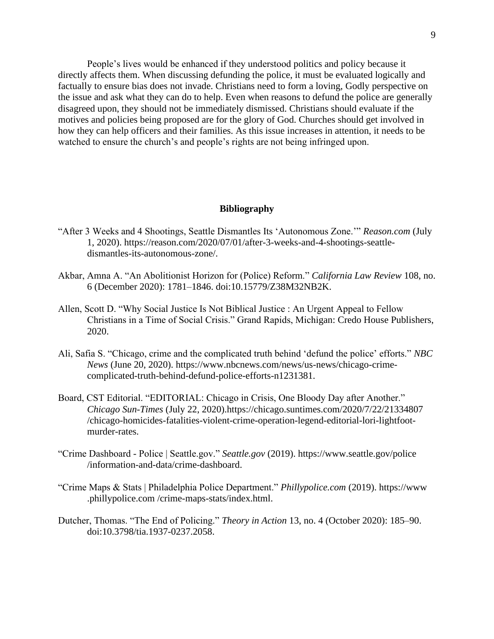People's lives would be enhanced if they understood politics and policy because it directly affects them. When discussing defunding the police, it must be evaluated logically and factually to ensure bias does not invade. Christians need to form a loving, Godly perspective on the issue and ask what they can do to help. Even when reasons to defund the police are generally disagreed upon, they should not be immediately dismissed. Christians should evaluate if the motives and policies being proposed are for the glory of God. Churches should get involved in how they can help officers and their families. As this issue increases in attention, it needs to be watched to ensure the church's and people's rights are not being infringed upon.

#### **Bibliography**

- "After 3 Weeks and 4 Shootings, Seattle Dismantles Its 'Autonomous Zone.'" *Reason.com* (July 1, 2020). [https://reason.com/2020/07/01/after-3-weeks-and-4-shootings-seattle](https://reason.com/2020/07/01/after-3-weeks-and-4-shootings-seattle-dismantles-its-autonomous-zone/)[dismantles-its-autonomous-zone/.](https://reason.com/2020/07/01/after-3-weeks-and-4-shootings-seattle-dismantles-its-autonomous-zone/)
- Akbar, Amna A. "An Abolitionist Horizon for (Police) Reform." *California Law Review* 108, no. 6 (December 2020): 1781–1846. doi:10.15779/Z38M32NB2K.
- Allen, Scott D. "Why Social Justice Is Not Biblical Justice : An Urgent Appeal to Fellow Christians in a Time of Social Crisis." Grand Rapids, Michigan: Credo House Publishers, 2020.
- Ali, Safia S. "Chicago, crime and the complicated truth behind 'defund the police' efforts." *NBC News* (June 20, 2020). [https://www.nbcnews.com/news/us-news/chicago-crime](https://www.nbcnews.com/news/us-news/chicago-crime-complicated-truth-behind-defund-police-efforts-n1231381)[complicated-truth-behind-defund-police-efforts-n1231381.](https://www.nbcnews.com/news/us-news/chicago-crime-complicated-truth-behind-defund-police-efforts-n1231381)
- Board, CST Editorial. "EDITORIAL: Chicago in Crisis, One Bloody Day after Another." *Chicago Sun-Times* (July 22, 2020)[.https://chicago.suntimes.com/2020/7/22/21334807](https://chicago.suntimes.com/2020/7/22/21334807%20/chicago-homicides-fatalities-violent-crime-operation-legend-editorial-lori-lightfoot-murder-rates)  [/chicago-homicides-fatalities-violent-crime-operation-legend-editorial-lori-lightfoot](https://chicago.suntimes.com/2020/7/22/21334807%20/chicago-homicides-fatalities-violent-crime-operation-legend-editorial-lori-lightfoot-murder-rates)[murder-rates.](https://chicago.suntimes.com/2020/7/22/21334807%20/chicago-homicides-fatalities-violent-crime-operation-legend-editorial-lori-lightfoot-murder-rates)
- "Crime Dashboard Police | Seattle.gov." *Seattle.gov* (2019). [https://www.seattle.gov/police](https://www.seattle.gov/police%20/information-and-data/crime-dashboard)  [/information-and-data/crime-dashboard.](https://www.seattle.gov/police%20/information-and-data/crime-dashboard)
- "Crime Maps & Stats | Philadelphia Police Department." *Phillypolice.com* (2019). https://www .phillypolice.com /crime-maps-stats/index.html.
- Dutcher, Thomas. "The End of Policing." *Theory in Action* 13, no. 4 (October 2020): 185–90. doi:10.3798/tia.1937-0237.2058.